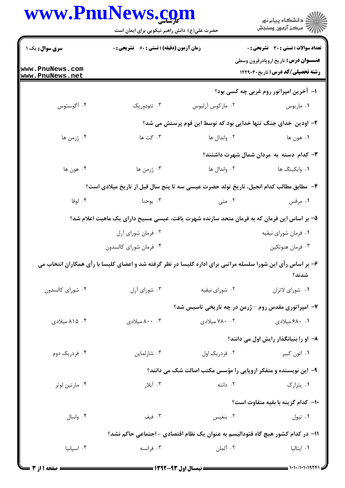|                                    | www.PnuNews.com<br>حضرت علی(ع): دانش راهبر نیکویی برای ایمان است |                                                                                                              | ڪ دانشڪاه پيا <sub>م</sub> نور<br>۾ سرڪز آزمون وسنڊش                                  |
|------------------------------------|------------------------------------------------------------------|--------------------------------------------------------------------------------------------------------------|---------------------------------------------------------------------------------------|
| <b>سری سوال :</b> یک ۱             | <b>زمان آزمون (دقیقه) : تستی : 60 ٪ تشریحی : 0</b>               |                                                                                                              | <b>تعداد سوالات : تستي : 30 ٪ تشريحي : 0</b>                                          |
| www.PnuNews.com<br>www.PnuNews.net |                                                                  |                                                                                                              | <b>عنـــوان درس:</b> تاریخ اروپادرقرون وسطی<br><b>رشته تحصیلی/کد درس:</b> تاریخ۲۲۹۰۳۰ |
|                                    |                                                                  |                                                                                                              | ۱– آخرین امپراتور روم غربی چه کسی بود؟                                                |
| ۰۴ آگوستوس                         | ۰۳ تئودوریک                                                      | ۰۲ مارکوس آرلیوس                                                                                             | ۰۱ ماريوس                                                                             |
|                                    |                                                                  | ۲– اودین خدای جنگ تنها خدایی بود که توسط این قوم پرستش می شد؟                                                |                                                                                       |
| ۰۴ ژرمن ها                         | ۰۳ گت ها                                                         | ۲. واندال ها                                                                                                 | ١. هون ها                                                                             |
|                                    |                                                                  |                                                                                                              | ۰۳ کدام دسته به مردان شمال شهرت داشتند؟                                               |
| ۰۴ هون ها                          | ۰۳ ژرمن ها                                                       | ۰۲ واندال ها                                                                                                 | ۰۱ وایکینگ ها                                                                         |
|                                    |                                                                  | ۴- مطابق مطالب كدام انجيل، تاريخ تولد حضرت عيسى سه تا پنج سال قبل از تاريخ ميلادي است؟                       |                                                                                       |
| ۰۴ لوقا                            | ۰۳ يوحنا                                                         | ۰۲ متی                                                                                                       | ۰۱ مرقس                                                                               |
|                                    |                                                                  | ۵– بر اساس این فرمان که به فرمان متحد سازنده شهرت یافت، عیسی مسیح دارای یک ماهیت اعلام شد؟                   |                                                                                       |
|                                    | ۰۲ فرمان شورای آرل                                               |                                                                                                              | ۰۱ فرمان شورای نیقیه                                                                  |
|                                    | ۰۴ فرمان شورای کالسدون                                           |                                                                                                              | ۰۳ فرمان هنوتکين                                                                      |
|                                    |                                                                  | ۶- بر اساس رأی این شورا سلسله مراتبی برای اداره کلیسا در نظر گرفته شد و اعضای کلیسا با رأی همکاران انتخاب می | شدند؟                                                                                 |
| ۰۴ شورای کالسدون                   | ۰۳ شورای آرل                                                     | ٠٢ شوراي نيقيه                                                                                               | ٠١ شوراي لاتران                                                                       |
|                                    |                                                                  | ۷– امپراتوری مقدس روم – ژرمن در چه تاریخی تاسیس شد؟                                                          |                                                                                       |
| ۰۴ ۸۱۵ میلادی                      | ۰۰ . ۸۰۰ میلادی                                                  | ۰۲ . ۷۸۰ میلادی                                                                                              | ۰۱ ۶۸۰ میلادی                                                                         |
|                                    |                                                                  |                                                                                                              | ۸– او را بنیانگذار رایش اول می دانند؟                                                 |
| ۰۴ فردریک دوم                      | ۰۳ شارلماين                                                      | ۰۲ فردریک اول                                                                                                | ۰۱ اتون کبیر                                                                          |
|                                    |                                                                  | ۹- این نویسنده و متفکر اروپایی را مؤسس مکتب اصالت شک می دانند؟                                               |                                                                                       |
| ۰۴ مارتين لوتر                     | ۰۳ آبلار                                                         | ۰۲ دانته                                                                                                     | ۰۱ پترارک                                                                             |
|                                    |                                                                  |                                                                                                              | +ا- كدام گزينه با بقيه متفاوت است؟                                                    |
| ۰۴ واسال                           | ۰۳ فیف                                                           | ۰۲ بنفیس                                                                                                     | ۰۱ تیول                                                                               |
|                                    |                                                                  | 1۱– در کدام کشور هیچ گاه فئودالیسم به عنوان یک نظام اقتصادی - اجتماعی حاکم نشد؟                              |                                                                                       |
| ۰۴ اسیانیا                         | ۰۳ فرانسه                                                        | ۰۲ آلمان                                                                                                     | ۰۱ ایتالیا                                                                            |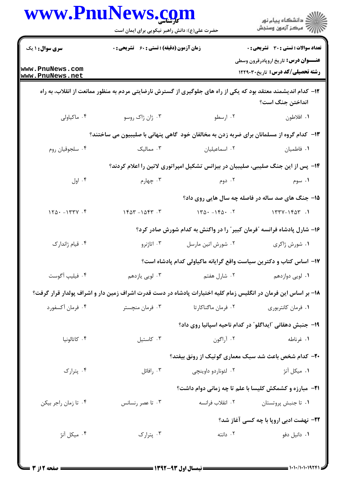|                                    | حضرت علی(ع): دانش راهبر نیکویی برای ایمان است      |                     | ر<br>دانشڪاه پيام نور<br>۾ مرکز آزمون وسنڊش                                                                    |  |
|------------------------------------|----------------------------------------------------|---------------------|----------------------------------------------------------------------------------------------------------------|--|
| سری سوال: ۱ یک                     | <b>زمان آزمون (دقیقه) : تستی : 60 ٪ تشریحی : 0</b> |                     | <b>تعداد سوالات : تستي : 30 ٪ تشريحي : 0</b>                                                                   |  |
| www.PnuNews.com<br>www.PnuNews.net |                                                    |                     | <b>عنـــوان درس:</b> تاریخ اروپادرقرون وسطی<br><b>رشته تحصیلی/کد درس:</b> تاریخ۲۲۹۰۳۰                          |  |
|                                    |                                                    |                     | ۱۲– کدام اندیشمند معتقد بود که یکی از راه های جلوگیری از گسترش نارضایتی مردم به منظور ممانعت از انقلاب، به راه |  |
|                                    |                                                    |                     | انداختن جنگ است؟                                                                                               |  |
| ۰۴ ماکیاولی                        | ۰۳ ژان ژاک روسو                                    | ۰۲ ارسطو            | ١. افلاطون                                                                                                     |  |
|                                    |                                                    |                     | ۱۳- کدام گروه از مسلمانان برای ضربه زدن به مخالفان خود گاهی پنهانی با صلیبیون می ساختند؟                       |  |
| ۰۴ سلجوقيان روم                    | ۰۳ ممالیک                                          | ٠٢ اسماعيليان       | ۰۱ فاطمیان                                                                                                     |  |
|                                    |                                                    |                     | ۱۴- پس از این جنگ صلیبی، صلیبیان در بیزانس تشکیل امپراتوری لاتین را اعلام کردند؟                               |  |
| ۰۴ اول                             | ۰۳ چهارم                                           | ۰۲ دوم              | ۰۱ سوم                                                                                                         |  |
|                                    |                                                    |                     | ۱۵- جنگ های صد ساله در فاصله چه سال هایی روی داد؟                                                              |  |
| $170 - 1777$ .                     | $160 - 106 - 7$                                    | $140 - 160 - 1$     | $1777 - 1907$ .                                                                                                |  |
|                                    |                                                    |                     | ۱۶- شارل پادشاه فرانسه ؒفرمان کبیر ؒ را در واکنش به کدام شورش صادر کرد؟                                        |  |
| ۰۴ قیام ژاندارک                    | ۰۳ اتاژنرو                                         | ٠٢ شورش اتين مارسل  | ۰۱ شورش ژاکری                                                                                                  |  |
|                                    |                                                    |                     | ۱۷– اساس کتاب و دکترین سیاست واقع گرایانه ماکیاولی کدام پادشاه است؟                                            |  |
| ۰۴ فيليپ أگوست                     | ۰۳ لویی یازدهم                                     | ۰۲ شارل هفتم        | ۰۱ لويي دوازدهم                                                                                                |  |
|                                    |                                                    |                     | ۱۸– بر اساس این فرمان در انگلیس زمام کلیه اختیارات پادشاه در دست قدرت اشراف زمین دار و اشراف پولدار قرار گرفت؟ |  |
| ۰۴ فرمان آکسفورد                   | ۰۳ فرمان منچستر                                    | ۰۲ فرمان ماگناکارتا | ۰۱ فرمان کانتربوری                                                                                             |  |
|                                    |                                                    |                     | ۱۹- جنبش دهقانی آایداگلو ؒ در کدام ناحیه اسپانیا روی داد؟                                                      |  |
| ۰۴ كاتالونيا                       | ۰۳ کاستيل                                          | ۰۲ آراگون           | ۰۱ غرناطه                                                                                                      |  |
|                                    |                                                    |                     | ۲۰- کدام شخص باعث شد سبک معماری گوتیک از رونق بیفتد؟                                                           |  |
| ۰۴ پترارک                          | ۰۳ رافائل                                          | ۰۲ لئوناردو داوينچى | ۰۱ میکل آنژ                                                                                                    |  |
|                                    |                                                    |                     | <b>۲۱</b> - مبارزه و کشمکش کلیسا با علم تا چه زمانی دوام داشت؟                                                 |  |
| ۰۴ تا زمان راجر بيكن               | ۰۳ تا عصر رنسانس                                   | ۰۲ انقلاب فرانسه    | ۰۱ تا جنبش پروتستان                                                                                            |  |
|                                    |                                                    |                     | <b>۲۲</b> - نهضت ادبی اروپا با چه کسی آغاز شد؟                                                                 |  |
| ۰۴ میکل آنژ                        | ۰۳ پترارک                                          | ۰۲ دانته            | ۰۱ دانیل دفو                                                                                                   |  |